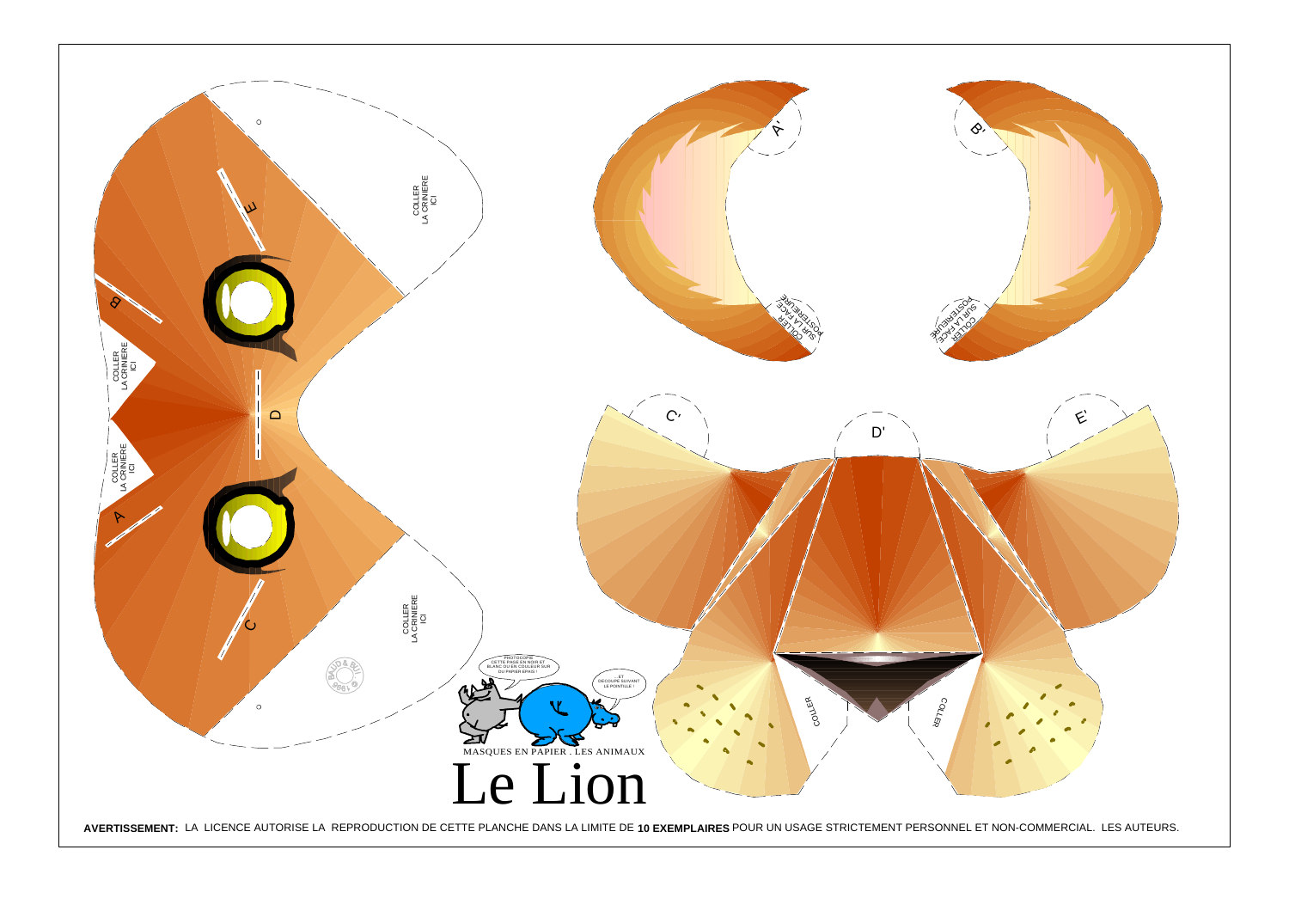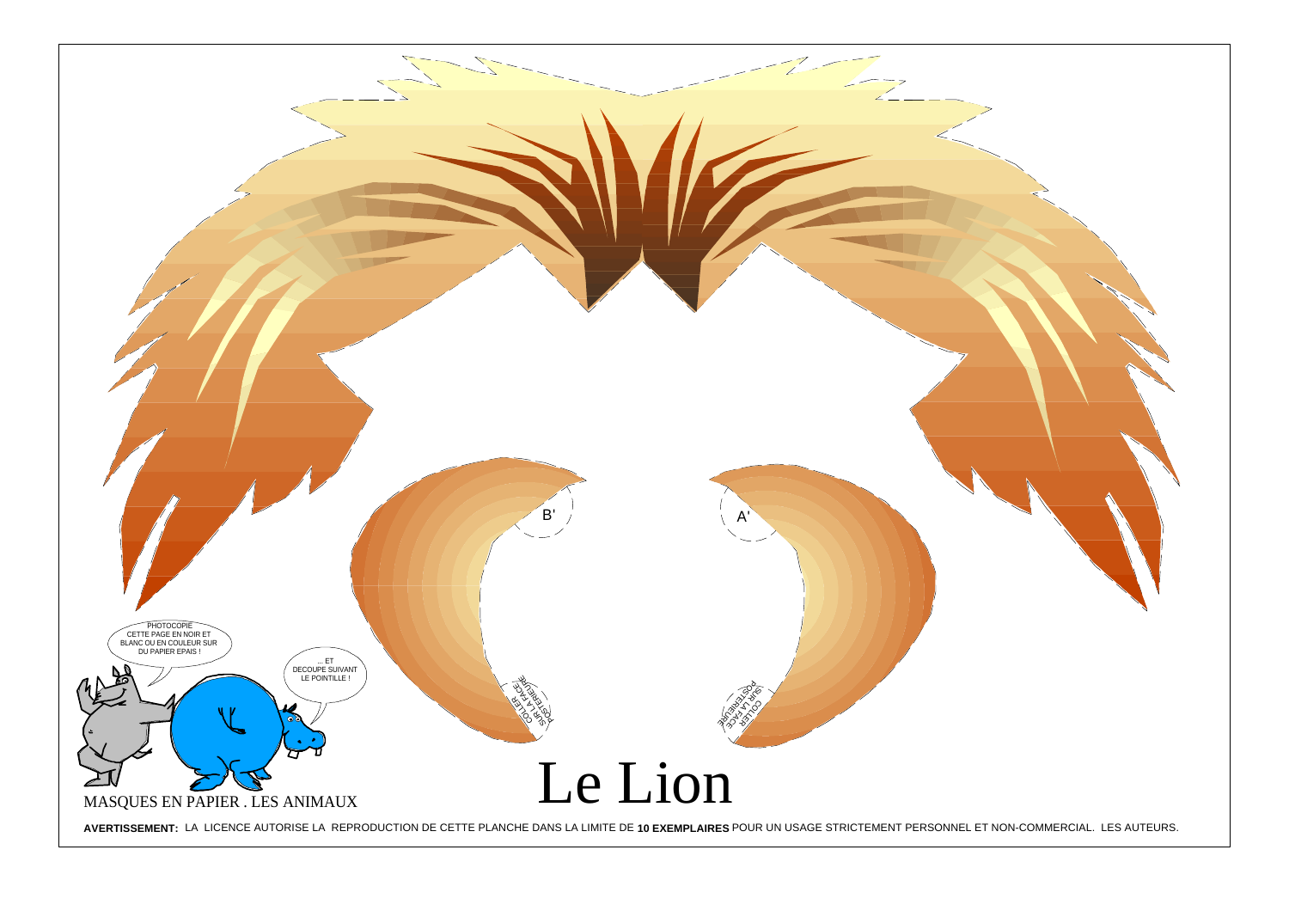